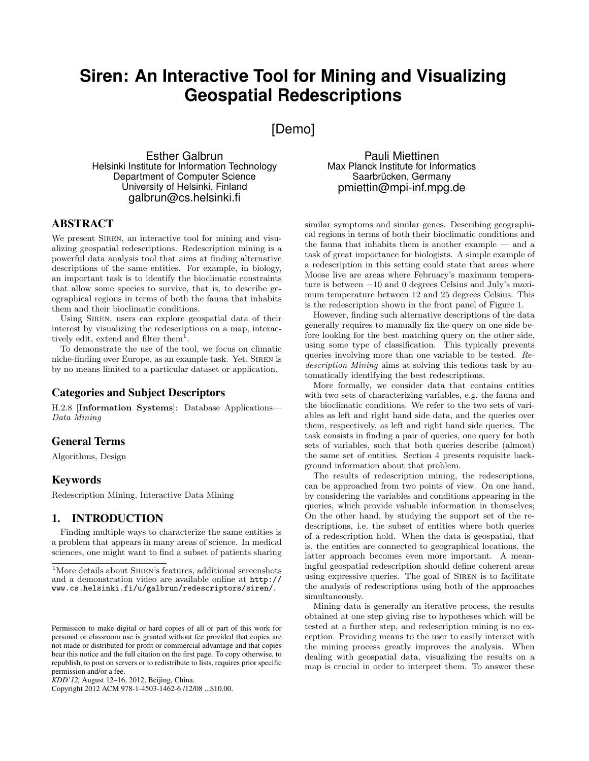# **Siren: An Interactive Tool for Mining and Visualizing Geospatial Redescriptions**

[Demo]

Esther Galbrun Helsinki Institute for Information Technology Department of Computer Science University of Helsinki, Finland galbrun@cs.helsinki.fi

# ABSTRACT

We present SIREN, an interactive tool for mining and visualizing geospatial redescriptions. Redescription mining is a powerful data analysis tool that aims at finding alternative descriptions of the same entities. For example, in biology, an important task is to identify the bioclimatic constraints that allow some species to survive, that is, to describe geographical regions in terms of both the fauna that inhabits them and their bioclimatic conditions.

Using Siren, users can explore geospatial data of their interest by visualizing the redescriptions on a map, interactively edit, extend and filter them<sup>1</sup>.

To demonstrate the use of the tool, we focus on climatic niche-finding over Europe, as an example task. Yet, Siren is by no means limited to a particular dataset or application.

## Categories and Subject Descriptors

H.2.8 [Information Systems]: Database Applications— Data Mining

## General Terms

Algorithms, Design

# Keywords

Redescription Mining, Interactive Data Mining

# 1. INTRODUCTION

Finding multiple ways to characterize the same entities is a problem that appears in many areas of science. In medical sciences, one might want to find a subset of patients sharing

Copyright 2012 ACM 978-1-4503-1462-6 /12/08 ...\$10.00.

Pauli Miettinen Max Planck Institute for Informatics Saarbrücken, Germany pmiettin@mpi-inf.mpg.de

similar symptoms and similar genes. Describing geographical regions in terms of both their bioclimatic conditions and the fauna that inhabits them is another example — and a task of great importance for biologists. A simple example of a redescription in this setting could state that areas where Moose live are areas where February's maximum temperature is between −10 and 0 degrees Celsius and July's maximum temperature between 12 and 25 degrees Celsius. This is the redescription shown in the front panel of Figure 1.

However, finding such alternative descriptions of the data generally requires to manually fix the query on one side before looking for the best matching query on the other side, using some type of classification. This typically prevents queries involving more than one variable to be tested. Redescription Mining aims at solving this tedious task by automatically identifying the best redescriptions.

More formally, we consider data that contains entities with two sets of characterizing variables, e.g. the fauna and the bioclimatic conditions. We refer to the two sets of variables as left and right hand side data, and the queries over them, respectively, as left and right hand side queries. The task consists in finding a pair of queries, one query for both sets of variables, such that both queries describe (almost) the same set of entities. Section 4 presents requisite background information about that problem.

The results of redescription mining, the redescriptions, can be approached from two points of view. On one hand, by considering the variables and conditions appearing in the queries, which provide valuable information in themselves; On the other hand, by studying the support set of the redescriptions, i.e. the subset of entities where both queries of a redescription hold. When the data is geospatial, that is, the entities are connected to geographical locations, the latter approach becomes even more important. A meaningful geospatial redescription should define coherent areas using expressive queries. The goal of SIREN is to facilitate the analysis of redescriptions using both of the approaches simultaneously.

Mining data is generally an iterative process, the results obtained at one step giving rise to hypotheses which will be tested at a further step, and redescription mining is no exception. Providing means to the user to easily interact with the mining process greatly improves the analysis. When dealing with geospatial data, visualizing the results on a map is crucial in order to interpret them. To answer these

 $^{\rm 1}\!$  More details about SIREN's features, additional screenshots and a demonstration video are available online at http:// www.cs.helsinki.fi/u/galbrun/redescriptors/siren/.

Permission to make digital or hard copies of all or part of this work for personal or classroom use is granted without fee provided that copies are not made or distributed for profit or commercial advantage and that copies bear this notice and the full citation on the first page. To copy otherwise, to republish, to post on servers or to redistribute to lists, requires prior specific permission and/or a fee.

*KDD'12,* August 12–16, 2012, Beijing, China.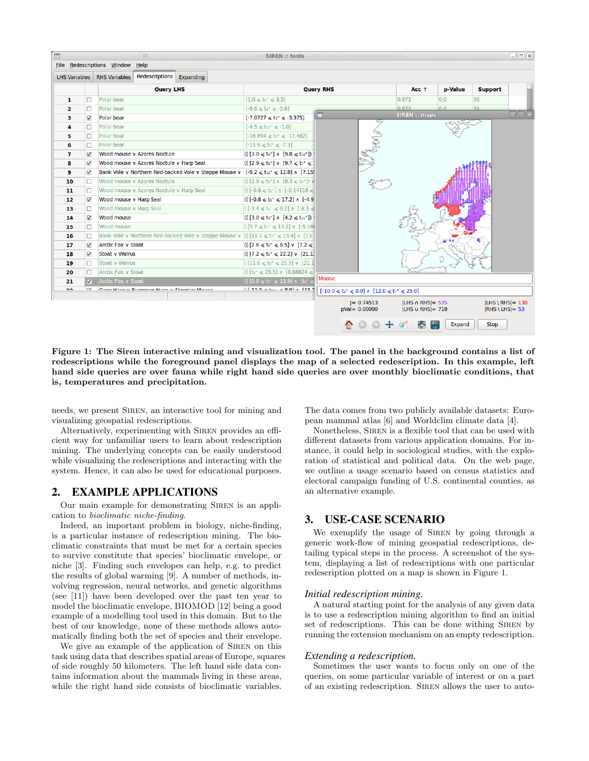

Figure 1: The Siren interactive mining and visualization tool. The panel in the background contains a list of redescriptions while the foreground panel displays the map of a selected redescription. In this example, left hand side queries are over fauna while right hand side queries are over monthly bioclimatic conditions, that is, temperatures and precipitation.

needs, we present SIREN, an interactive tool for mining and visualizing geospatial redescriptions.

Alternatively, experimenting with SIREN provides an efficient way for unfamiliar users to learn about redescription mining. The underlying concepts can be easily understood while visualizing the redescriptions and interacting with the system. Hence, it can also be used for educational purposes.

## 2. EXAMPLE APPLICATIONS

Our main example for demonstrating Siren is an application to bioclimatic niche-finding.

Indeed, an important problem in biology, niche-finding, is a particular instance of redescription mining. The bioclimatic constraints that must be met for a certain species to survive constitute that species' bioclimatic envelope, or niche [3]. Finding such envelopes can help, e.g. to predict the results of global warming [9]. A number of methods, involving regression, neural networks, and genetic algorithms (see [11]) have been developed over the past ten year to model the bioclimatic envelope, BIOMOD [12] being a good example of a modelling tool used in this domain. But to the best of our knowledge, none of these methods allows automatically finding both the set of species and their envelope.

We give an example of the application of SIREN on this task using data that describes spatial areas of Europe, squares of side roughly 50 kilometers. The left hand side data contains information about the mammals living in these areas, while the right hand side consists of bioclimatic variables.

The data comes from two publicly available datasets: European mammal atlas [6] and Worldclim climate data [4].

Nonetheless, SIREN is a flexible tool that can be used with different datasets from various application domains. For instance, it could help in sociological studies, with the exploration of statistical and political data. On the web page, we outline a usage scenario based on census statistics and electoral campaign funding of U.S. continental counties, as an alternative example.

# 3. USE-CASE SCENARIO

We exemplify the usage of SIREN by going through a generic work-flow of mining geospatial redescriptions, detailing typical steps in the process. A screenshot of the system, displaying a list of redescriptions with one particular redescription plotted on a map is shown in Figure 1.

## *Initial redescription mining.*

A natural starting point for the analysis of any given data is to use a redescription mining algorithm to find an initial set of redescriptions. This can be done withing Siren by running the extension mechanism on an empty redescription.

#### *Extending a redescription.*

Sometimes the user wants to focus only on one of the queries, on some particular variable of interest or on a part of an existing redescription. Siren allows the user to auto-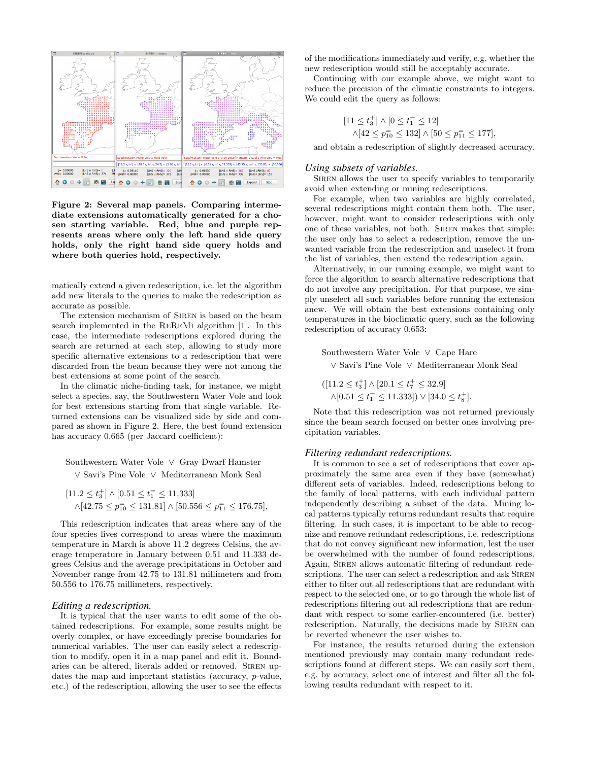

Figure 2: Several map panels. Comparing intermediate extensions automatically generated for a chosen starting variable. Red, blue and purple represents areas where only the left hand side query holds, only the right hand side query holds and where both queries hold, respectively.

matically extend a given redescription, i.e. let the algorithm add new literals to the queries to make the redescription as accurate as possible.

The extension mechanism of SIREN is based on the beam search implemented in the ReReMi algorithm [1]. In this case, the intermediate redescriptions explored during the search are returned at each step, allowing to study more specific alternative extensions to a redescription that were discarded from the beam because they were not among the best extensions at some point of the search.

In the climatic niche-finding task, for instance, we might select a species, say, the Southwestern Water Vole and look for best extensions starting from that single variable. Returned extensions can be visualized side by side and compared as shown in Figure 2. Here, the best found extension has accuracy  $0.665$  (per Jaccard coefficient):

Southwestern Water Vole ∨ Gray Dwarf Hamster

∨ Savi's Pine Vole ∨ Mediterranean Monk Seal

$$
[11.2 \le t_3^+] \land [0.51 \le t_1^- \le 11.333]
$$
  
 
$$
\land [42.75 \le p_{10}^- \le 131.81] \land [50.556 \le p_{11}^- \le 176.75],
$$

This redescription indicates that areas where any of the four species lives correspond to areas where the maximum temperature in March is above 11.2 degrees Celsius, the average temperature in January between 0.51 and 11.333 degrees Celsius and the average precipitations in October and November range from 42.75 to 131.81 millimeters and from 50.556 to 176.75 millimeters, respectively.

#### *Editing a redescription.*

It is typical that the user wants to edit some of the obtained redescriptions. For example, some results might be overly complex, or have exceedingly precise boundaries for numerical variables. The user can easily select a redescription to modify, open it in a map panel and edit it. Boundaries can be altered, literals added or removed. Siren updates the map and important statistics (accuracy, p-value, etc.) of the redescription, allowing the user to see the effects of the modifications immediately and verify, e.g. whether the new redescription would still be acceptably accurate.

Continuing with our example above, we might want to reduce the precision of the climatic constraints to integers. We could edit the query as follows:

$$
[11 \le t_3^+] \wedge [0 \le t_1^- \le 12]
$$
  

$$
\wedge [42 \le p_{10}^- \le 132] \wedge [50 \le p_{11}^- \le 177],
$$

and obtain a redescription of slightly decreased accuracy.

## *Using subsets of variables.*

SIREN allows the user to specify variables to temporarily avoid when extending or mining redescriptions.

For example, when two variables are highly correlated, several redescriptions might contain them both. The user, however, might want to consider redescriptions with only one of these variables, not both. Siren makes that simple: the user only has to select a redescription, remove the unwanted variable from the redescription and unselect it from the list of variables, then extend the redescription again.

Alternatively, in our running example, we might want to force the algorithm to search alternative redescriptions that do not involve any precipitation. For that purpose, we simply unselect all such variables before running the extension anew. We will obtain the best extensions containing only temperatures in the bioclimatic query, such as the following redescription of accuracy 0.653:

Southwestern Water Vole ∨ Cape Hare ∨ Savi's Pine Vole ∨ Mediterranean Monk Seal

$$
([11.2 \le t_3^+] \land [20.1 \le t_7^+ \le 32.9]
$$
  
 
$$
\land [0.51 \le t_1^- \le 11.333]) \lor [34.0 \le t_8^+].
$$

Note that this redescription was not returned previously since the beam search focused on better ones involving precipitation variables.

## *Filtering redundant redescriptions.*

It is common to see a set of redescriptions that cover approximately the same area even if they have (somewhat) different sets of variables. Indeed, redescriptions belong to the family of local patterns, with each individual pattern independently describing a subset of the data. Mining local patterns typically returns redundant results that require filtering. In such cases, it is important to be able to recognize and remove redundant redescriptions, i.e. redescriptions that do not convey significant new information, lest the user be overwhelmed with the number of found redescriptions. Again, SIREN allows automatic filtering of redundant redescriptions. The user can select a redescription and ask SIREN either to filter out all redescriptions that are redundant with respect to the selected one, or to go through the whole list of redescriptions filtering out all redescriptions that are redundant with respect to some earlier-encountered (i.e. better) redescription. Naturally, the decisions made by SIREN can be reverted whenever the user wishes to.

For instance, the results returned during the extension mentioned previously may contain many redundant redescriptions found at different steps. We can easily sort them, e.g. by accuracy, select one of interest and filter all the following results redundant with respect to it.